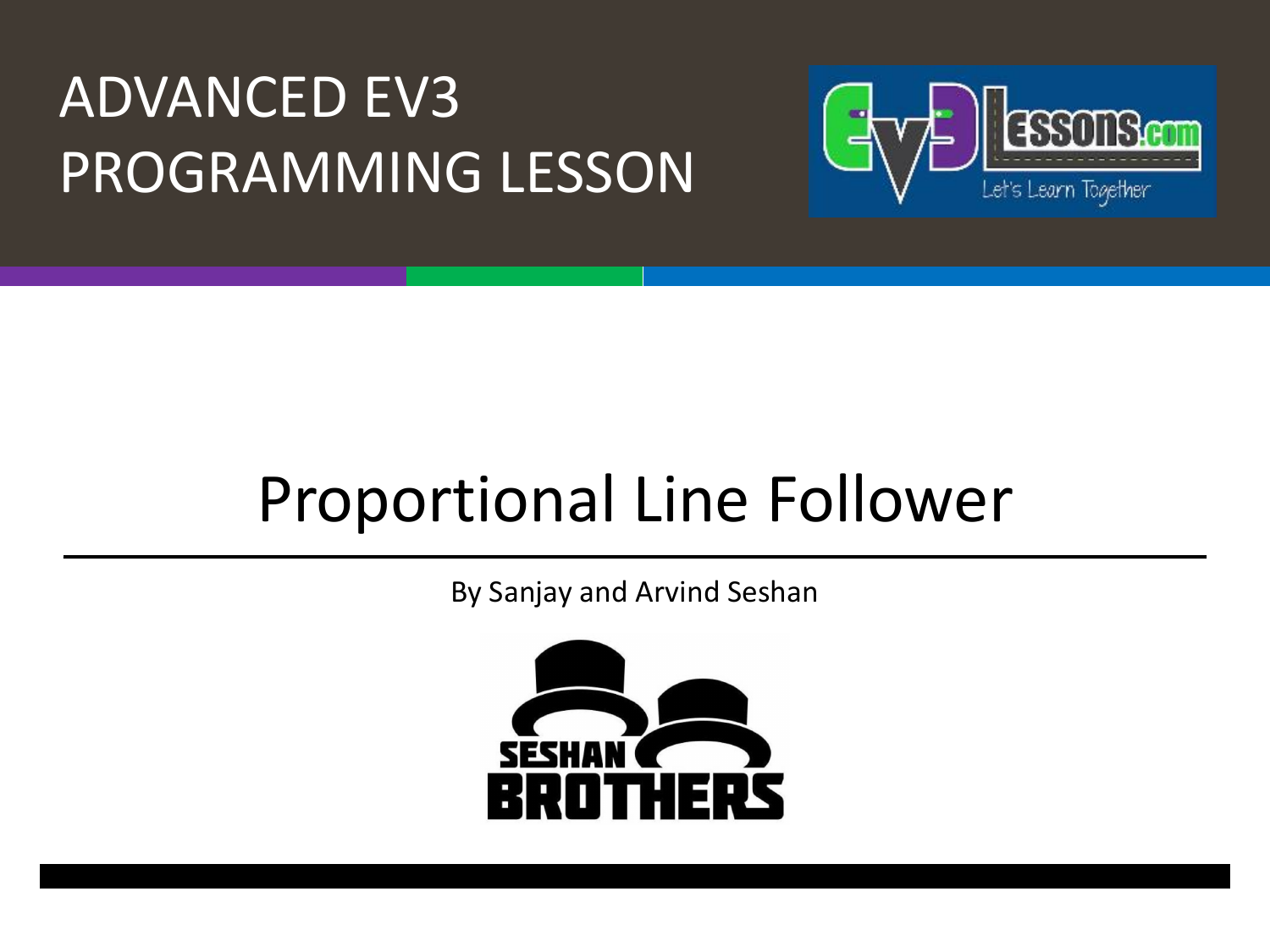#### ADVANCED EV3 PROGRAMMING LESSON



### Proportional Line Follower

By Sanjay and Arvind Seshan

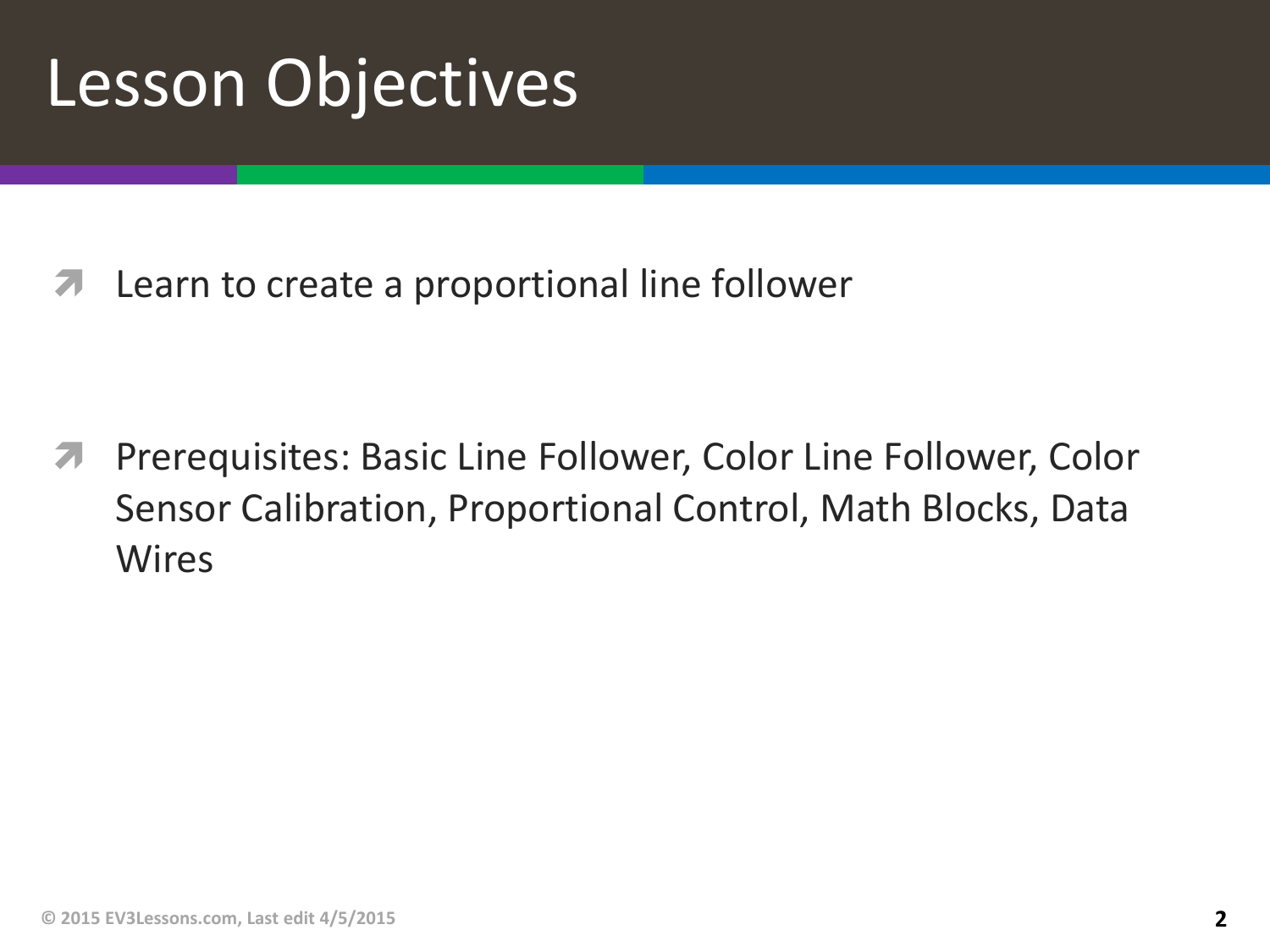## Lesson Objectives

**7** Learn to create a proportional line follower

ì Prerequisites: Basic Line Follower, Color Line Follower, Color Sensor Calibration, Proportional Control, Math Blocks, Data **Wires**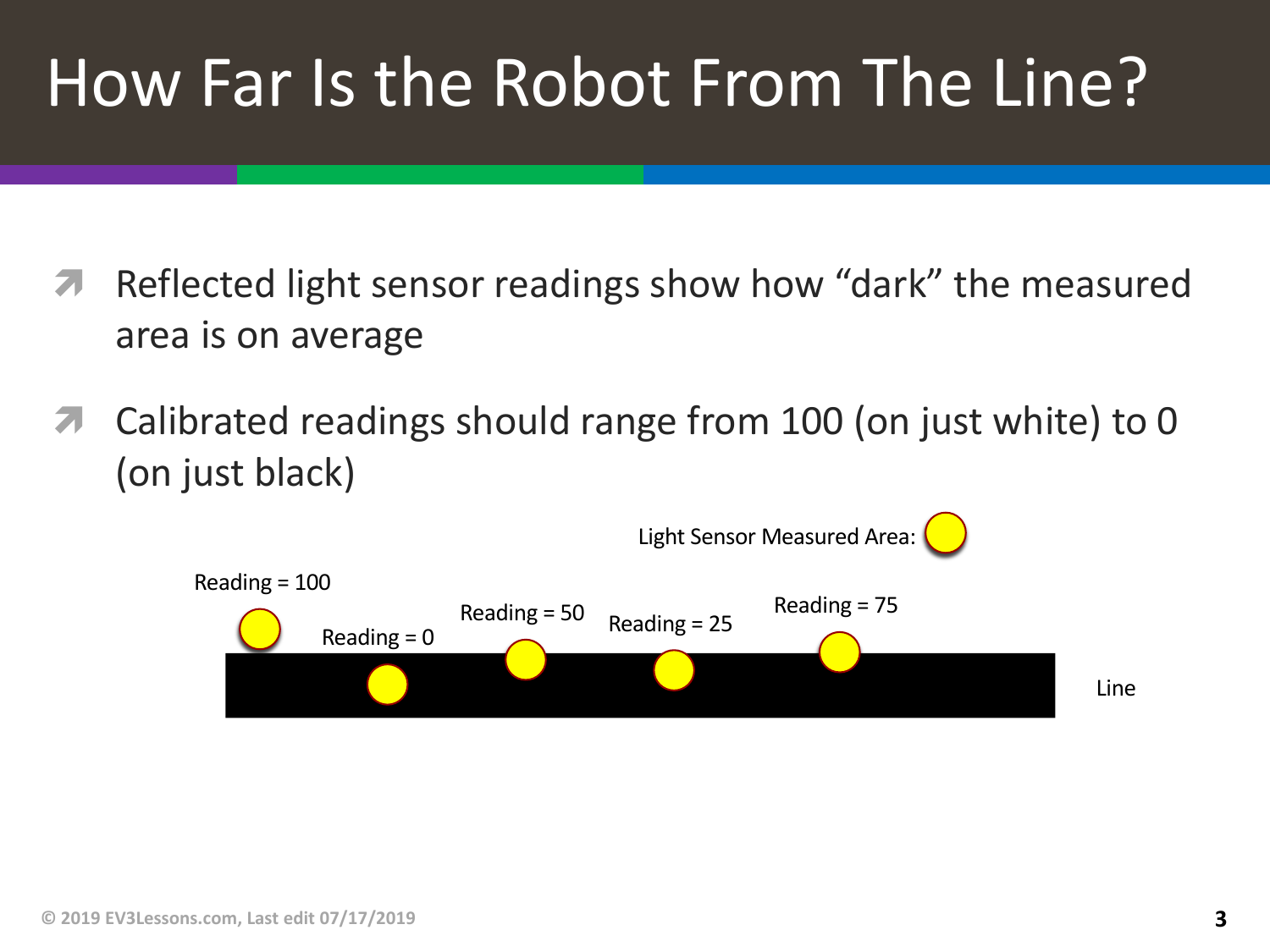# How Far Is the Robot From The Line?

- **7** Reflected light sensor readings show how "dark" the measured area is on average
- **7** Calibrated readings should range from 100 (on just white) to 0 (on just black)

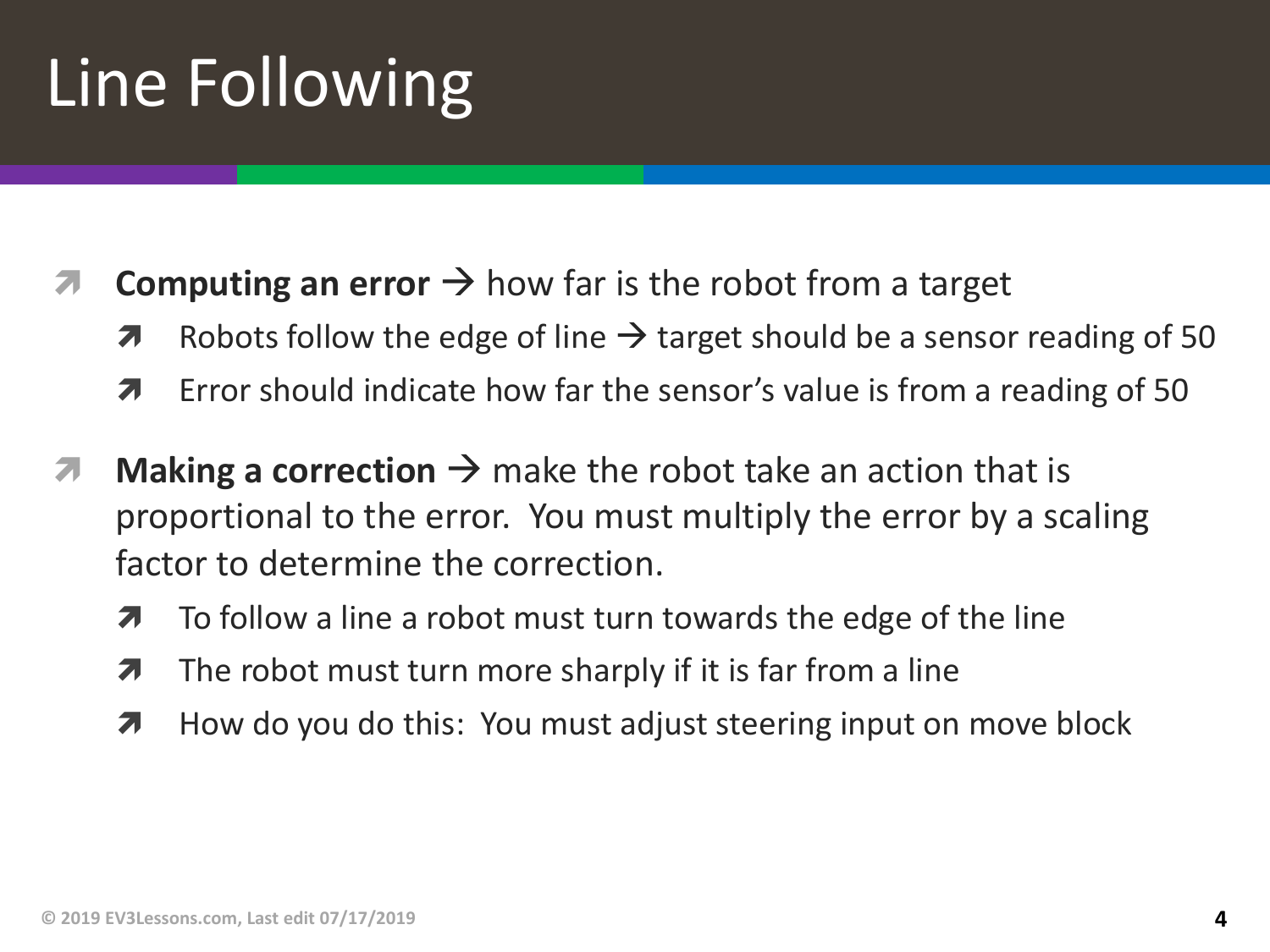# Line Following

- $\blacksquare$  **Computing an error**  $\rightarrow$  how far is the robot from a target
	- $\lambda$  Robots follow the edge of line  $\rightarrow$  target should be a sensor reading of 50
	- **7** Error should indicate how far the sensor's value is from a reading of 50
- $\lambda$  **Making a correction**  $\rightarrow$  make the robot take an action that is proportional to the error. You must multiply the error by a scaling factor to determine the correction.
	- $\lambda$  To follow a line a robot must turn towards the edge of the line
	- $\lambda$  The robot must turn more sharply if it is far from a line
	- **7** How do you do this: You must adjust steering input on move block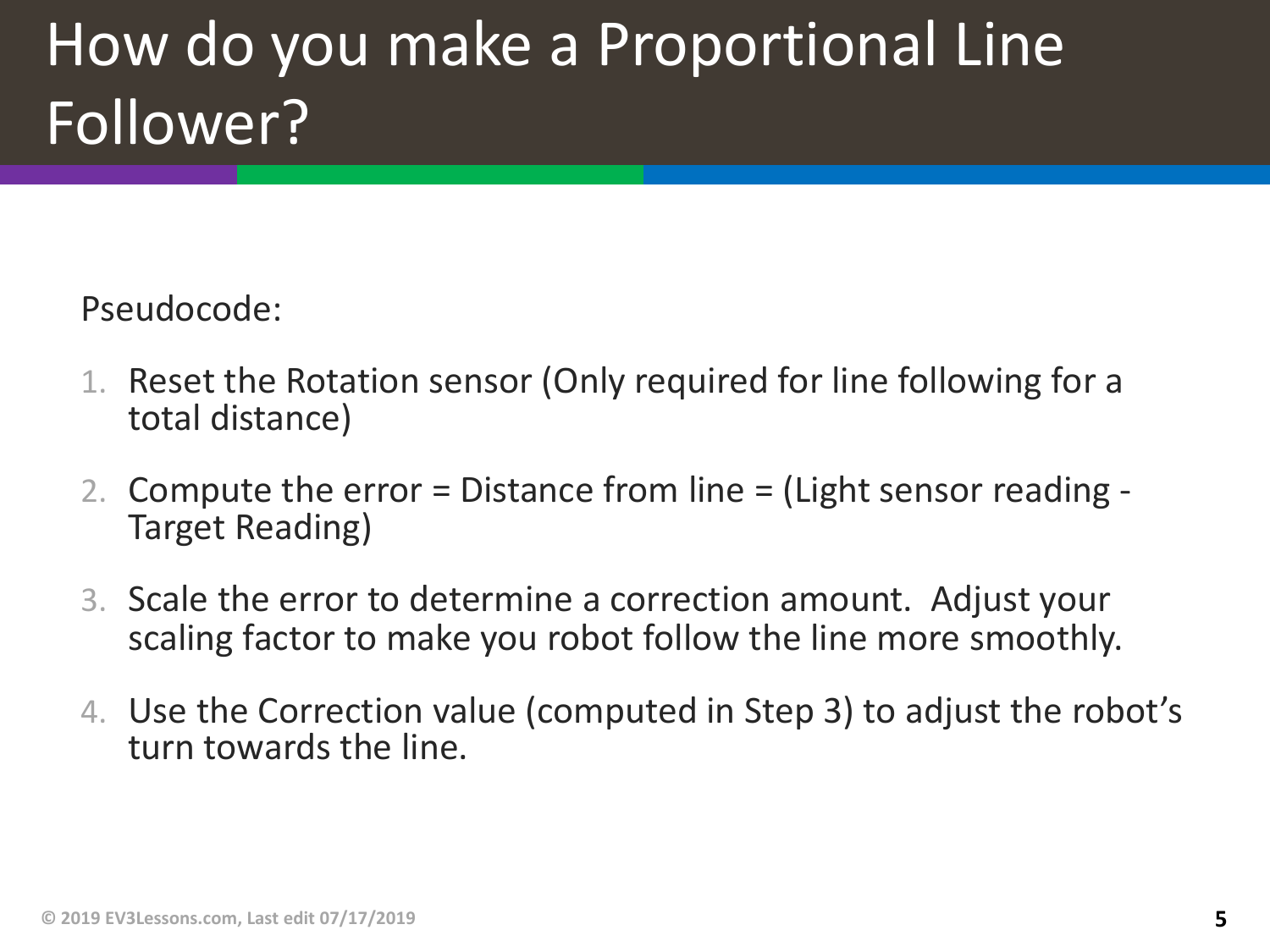### How do you make a Proportional Line Follower?

Pseudocode:

- 1. Reset the Rotation sensor (Only required for line following for a total distance)
- 2. Compute the error = Distance from line = (Light sensor reading Target Reading)
- 3. Scale the error to determine a correction amount. Adjust your scaling factor to make you robot follow the line more smoothly.
- 4. Use the Correction value (computed in Step 3) to adjust the robot's turn towards the line.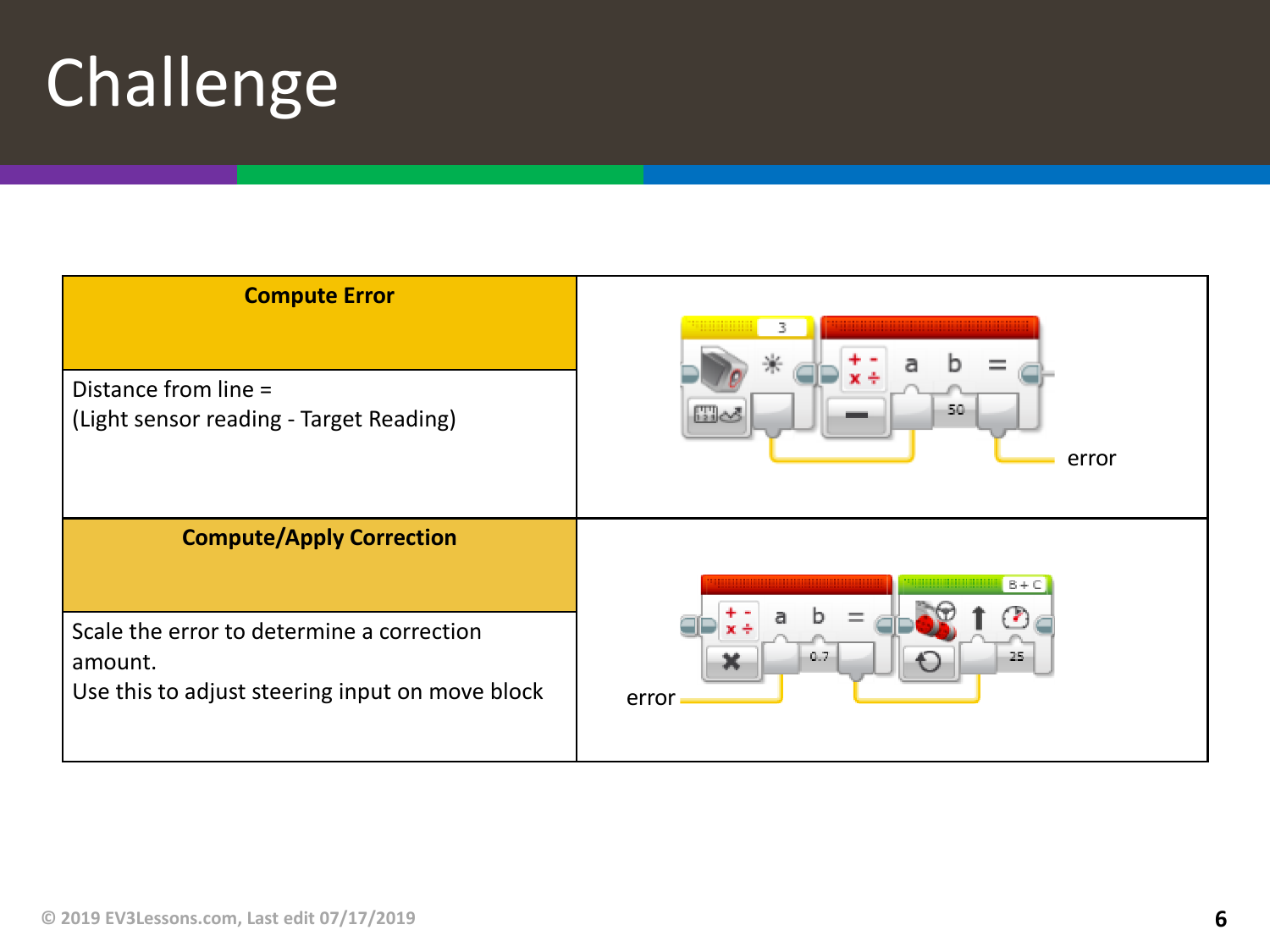# Challenge

| <b>Compute Error</b>                                                                                    |                              |
|---------------------------------------------------------------------------------------------------------|------------------------------|
| Distance from line =<br>(Light sensor reading - Target Reading)                                         | 50<br>$\Box \Delta$<br>error |
| <b>Compute/Apply Correction</b>                                                                         | $B + C$                      |
| Scale the error to determine a correction<br>amount.<br>Use this to adjust steering input on move block | 0.7<br>25<br>error           |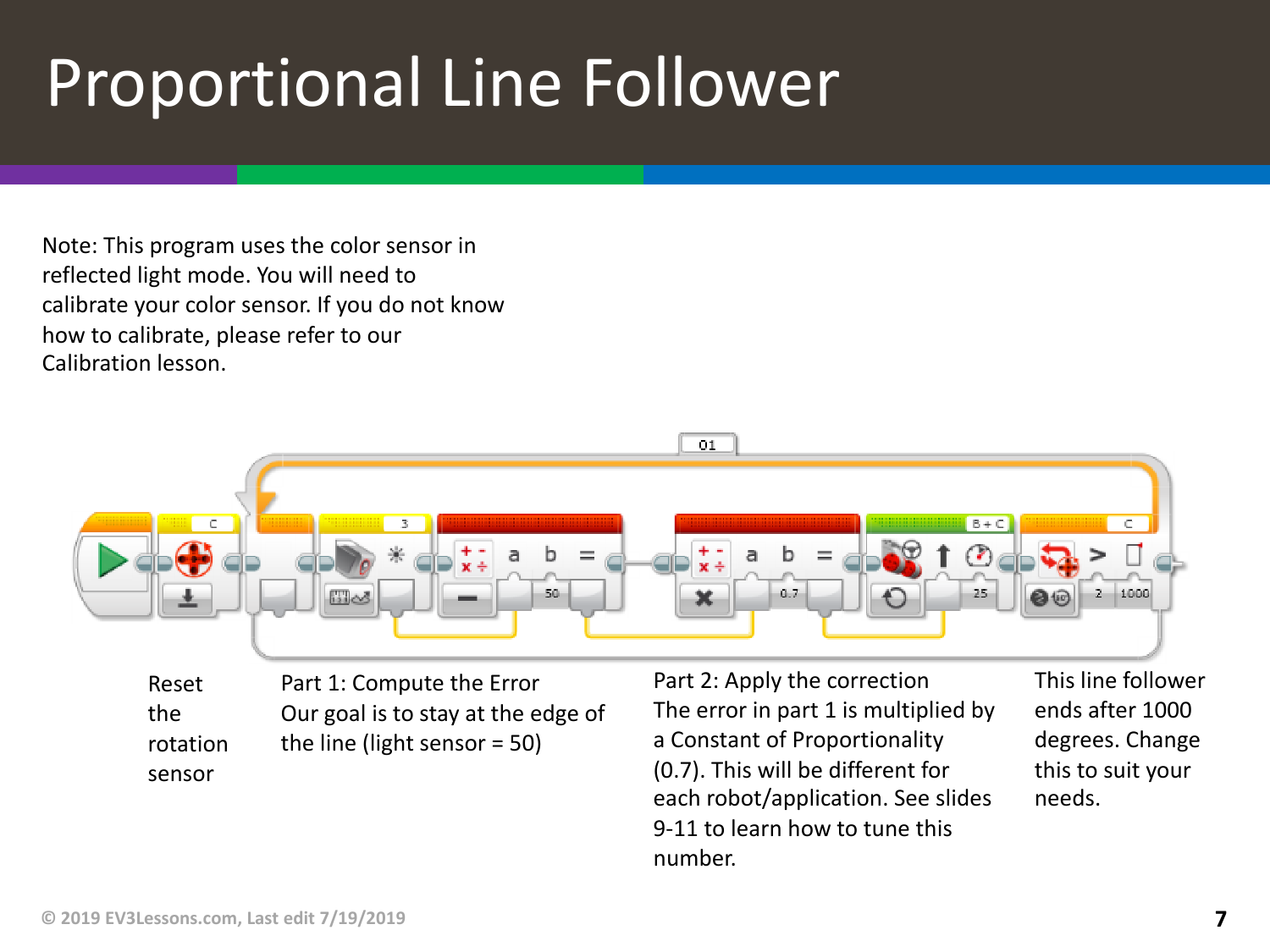## Proportional Line Follower

Note: This program uses the color sensor in reflected light mode. You will need to calibrate your color sensor. If you do not know how to calibrate, please refer to our Calibration lesson.



Part 1: Compute the Error Our goal is to stay at the edge of the line (light sensor = 50) Reset the rotation sensor

Part 2: Apply the correction The error in part 1 is multiplied by a Constant of Proportionality (0.7). This will be different for each robot/application. See slides 9-11 to learn how to tune this number.

This line follower ends after 1000 degrees. Change this to suit your needs.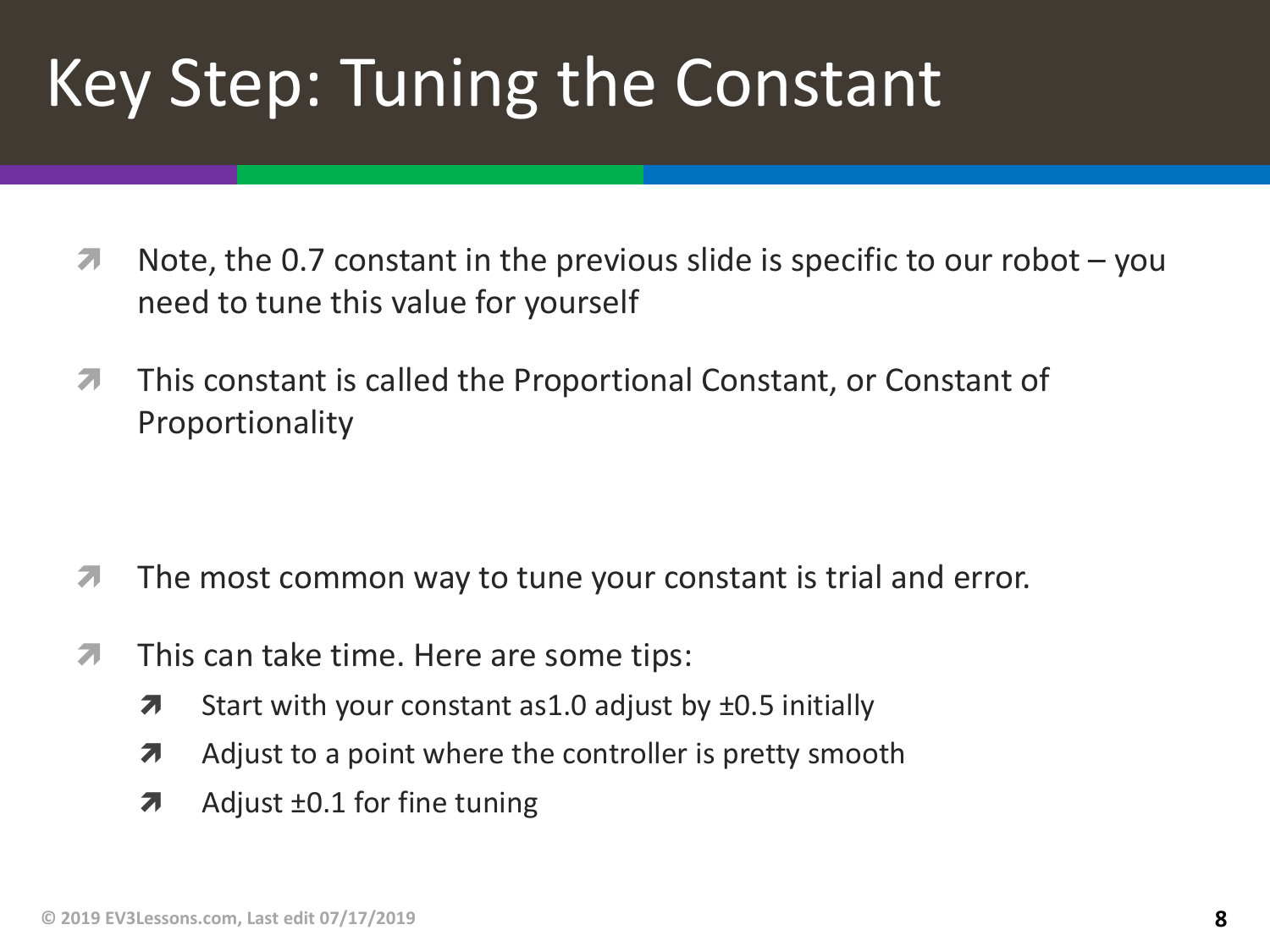# Key Step: Tuning the Constant

- $\lambda$  Note, the 0.7 constant in the previous slide is specific to our robot you need to tune this value for yourself
- $\pi$  This constant is called the Proportional Constant, or Constant of Proportionality

- $\lambda$  The most common way to tune your constant is trial and error.
- $\pi$  This can take time. Here are some tips:
	- $\lambda$  Start with your constant as 1.0 adjust by  $\pm$ 0.5 initially
	- $\lambda$  Adjust to a point where the controller is pretty smooth
	- $\lambda$  Adjust  $\pm 0.1$  for fine tuning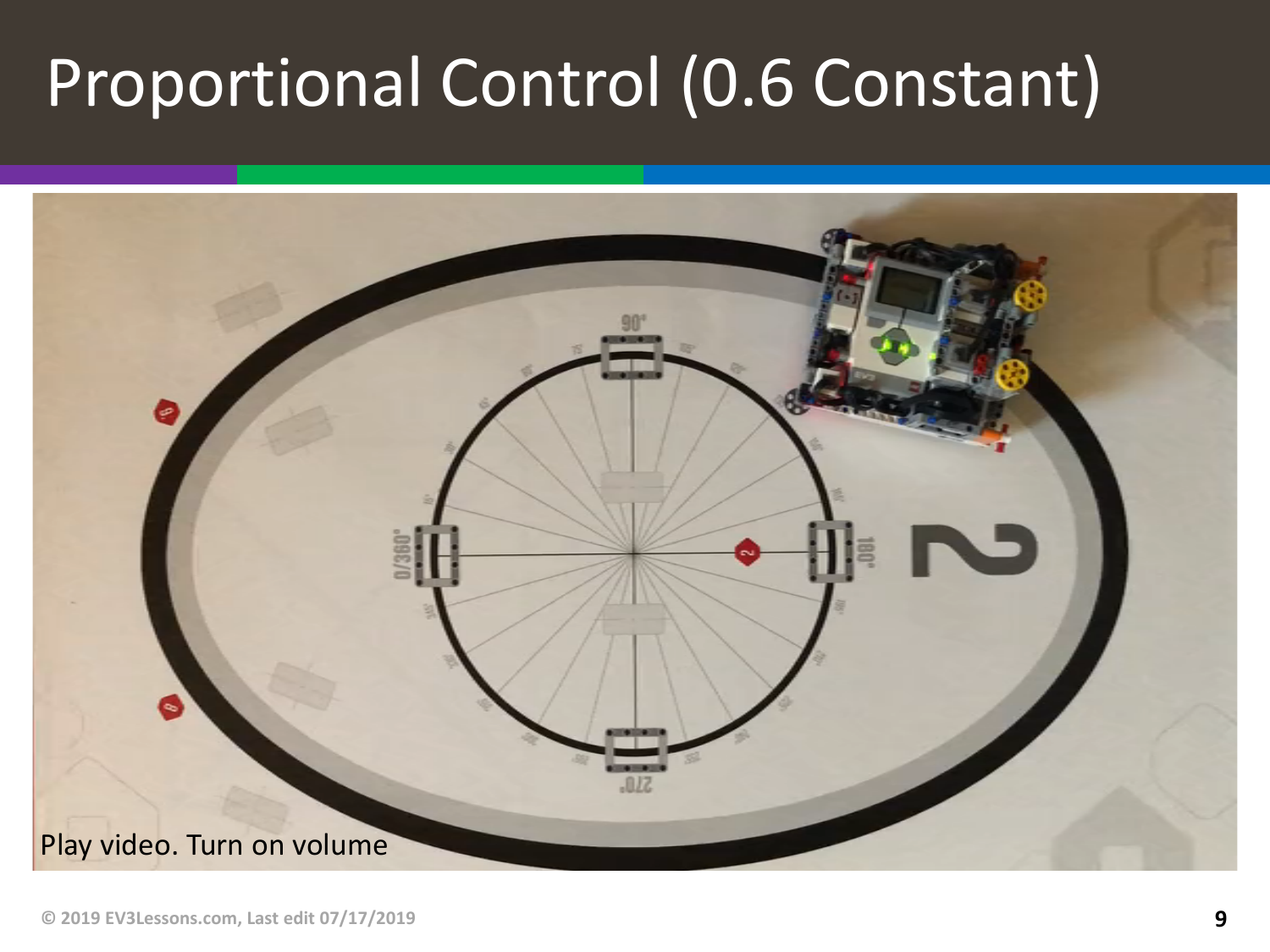# Proportional Control (0.6 Constant)

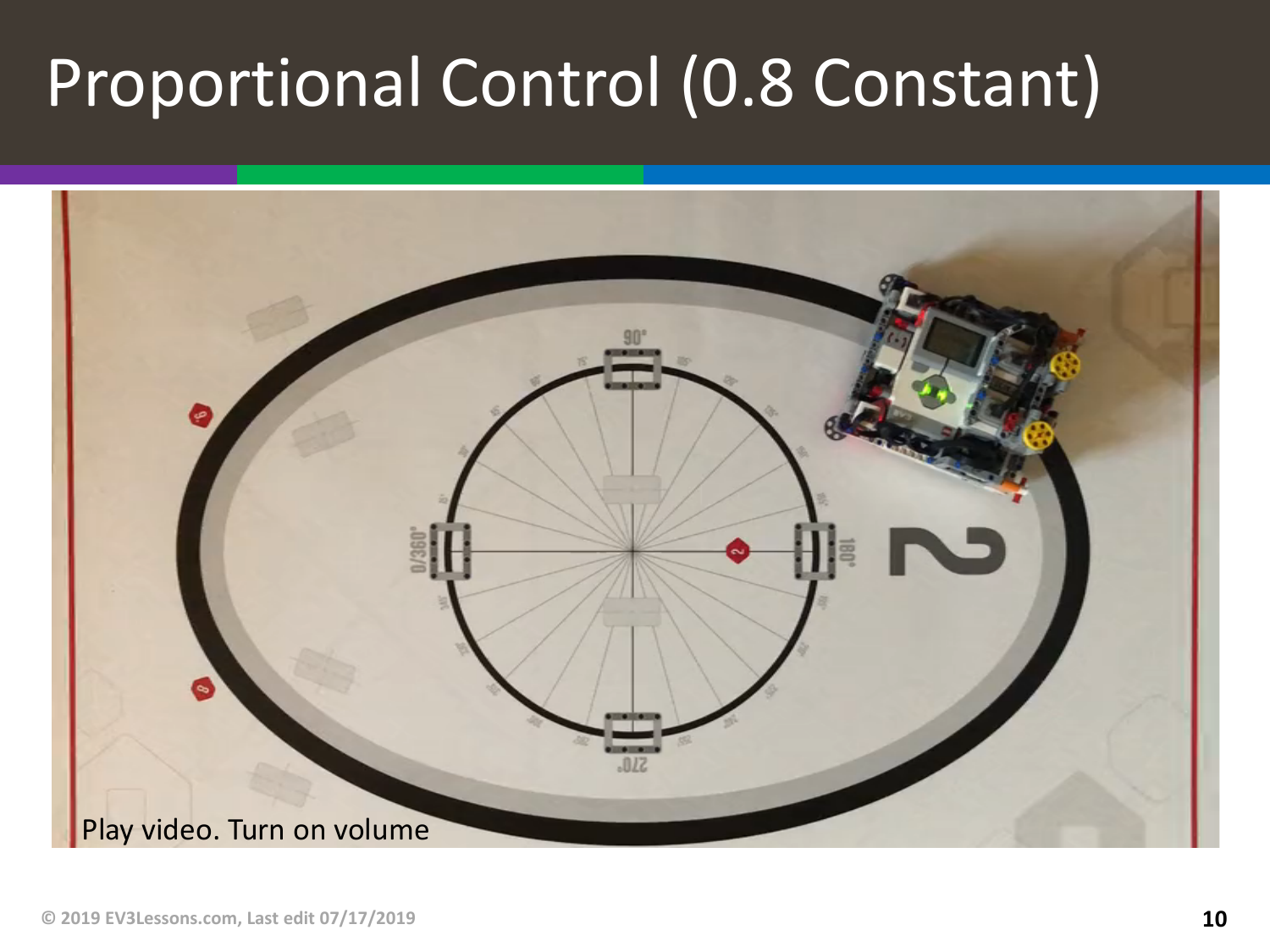# Proportional Control (0.8 Constant)